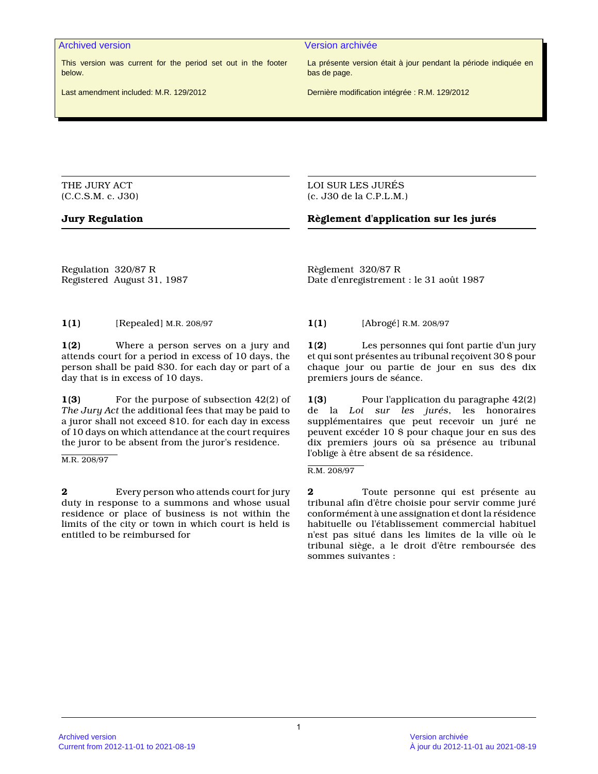This version was current for the period set out in the footer below.

Last amendment included: M.R. 129/2012

Archived version Version archivée

La présente version était à jour pendant la période indiquée en bas de page.

Dernière modification intégrée : R.M. 129/2012

THE JURY ACT (C.C.S.M. c. J30)

#### LOI SUR LES JURÉS (c. J30 de la C.P.L.M.)

#### **Jury Regulation Règlement d'application sur les jurés**

Regulation 320/87 R Registered August 31, 1987

**1(1)** [Repealed] M.R. 208/97 **1(1)** [Abrogé] R.M. 208/97

**1(2)** Where a person serves on a jury and attends court for a period in excess of 10 days, the person shall be paid \$30. for each day or part of a day that is in excess of 10 days.

**1(3)** For the purpose of subsection 42(2) of *The Jury Act* the additional fees that may be paid to a juror shall not exceed \$10. for each day in excess of 10 days on which attendance at the court requires the juror to be absent from the juror's residence.

M.R. 208/97

**2** Every person who attends court for jury duty in response to a summons and whose usual residence or place of business is not within the limits of the city or town in which court is held is entitled to be reimbursed for

Règlement 320/87 R Date d'enregistrement : le 31 août 1987

**1(2)** Les personnes qui font partie d'un jury et qui sont présentes au tribunal reçoivent 30 \$ pour chaque jour ou partie de jour en sus des dix premiers jours de séance.

**1(3)** Pour l'application du paragraphe 42(2) de la *Loi sur les jurés*, les honoraires supplémentaires que peut recevoir un juré ne peuvent excéder 10 \$ pour chaque jour en sus des dix premiers jours où sa présence au tribunal l'oblige à être absent de sa résidence.

R.M. 208/97

**2** Toute personne qui est présente au tribunal afin d'être choisie pour servir comme juré conformément à une assignation et dont la résidence habituelle ou l'établissement commercial habituel n'est pas situé dans les limites de la ville où le tribunal siège, a le droit d'être remboursée des sommes suivantes :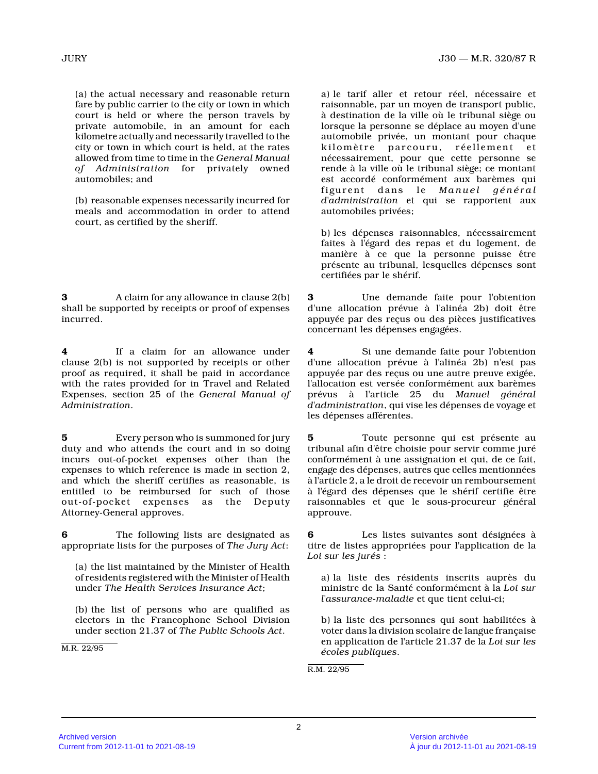(a) the actual necessary and reasonable return fare by public carrier to the city or town in which court is held or where the person travels by private automobile, in an amount for each kilometre actually and necessarily travelled to the city or town in which court is held, at the rates allowed from time to time in the *General Manual of Administration* for privately owned automobiles; and

(b) reasonable expenses necessarily incurred for meals and accommodation in order to attend court, as certified by the sheriff.

**3** A claim for any allowance in clause 2(b) shall be supported by receipts or proof of expenses incurred.

**4** If a claim for an allowance under clause 2(b) is not supported by receipts or other proof as required, it shall be paid in accordance with the rates provided for in Travel and Related Expenses, section 25 of the *General Manual of Administration* .

**5** Every person who is summoned for jury duty and who attends the court and in so doing incurs out-of-pocket expenses other than the expenses to which reference is made in section 2, and which the sheriff certifies as reasonable, is entitled to be reimbursed for such of those out-of-pocket expenses as the Deputy Attorney-General approves.

**6** The following lists are designated as appropriate lists for the purposes of *The Jury Act* :

(a) the list maintained by the Minister of Health of residents registered with the Minister of Health under *The Health Services Insurance Act* ;

(b) the list of persons who are qualified as electors in the Francophone School Division under section 21.37 of *The Public Schools Act* .

M.R. 22/95

a) le tarif aller et retour réel, nécessaire et raisonnable, par un moyen de transport public, à destination de la ville où le tribunal siège ou lorsque la personne se déplace au moyen d'une automobile privée, un montant pour chaque kilomètre parcouru, réellement et nécessairement, pour que cette personne se rende à la ville où le tribunal siège; ce montant est accordé conformément aux barèmes qui figurent dans le *Manuel général d'administration* et qui se rapportent aux automobiles privées;

b) les dépenses raisonnables, nécessairement faites à l'égard des repas et du logement, de manière à ce que la personne puisse être présente au tribunal, lesquelles dépenses sont certifiées par le shérif.

**3** Une demande faite pour l'obtention d'une allocation prévue à l'alinéa 2b) doit être appuyée par des reçus ou des pièces justificatives concernant les dépenses engagées.

**4** Si une demande faite pour l'obtention d'une allocation prévue à l'alinéa 2b) n'est pas appuyée par des reçus ou une autre preuve exigée, l'allocation est versée conformément aux barèmes prévus à l'article 25 du *Manuel général d'administration*, qui vise les dépenses de voyage et les dépenses afférentes.

**5** Toute personne qui est présente au tribunal afin d'être choisie pour servir comme juré conformément à une assignation et qui, de ce fait, engage des dépenses, autres que celles mentionnées à l'article 2, a le droit de recevoir un remboursement à l'égard des dépenses que le shérif certifie être raisonnables et que le sous-procureur général approuve.

**6** Les listes suivantes sont désignées à titre de listes appropriées pour l'application de l a *Loi sur les jurés* :

a) la liste des résidents inscrits auprès du ministre de la Santé conformément à la *Loi sur l'assurance-maladie* et que tient celui-ci;

b) la liste des personnes qui sont habilitées à voter dans la division scolaire de langue française en application de l'article 21.37 de la *Loi sur les écoles publiques* .

R.M. 22/95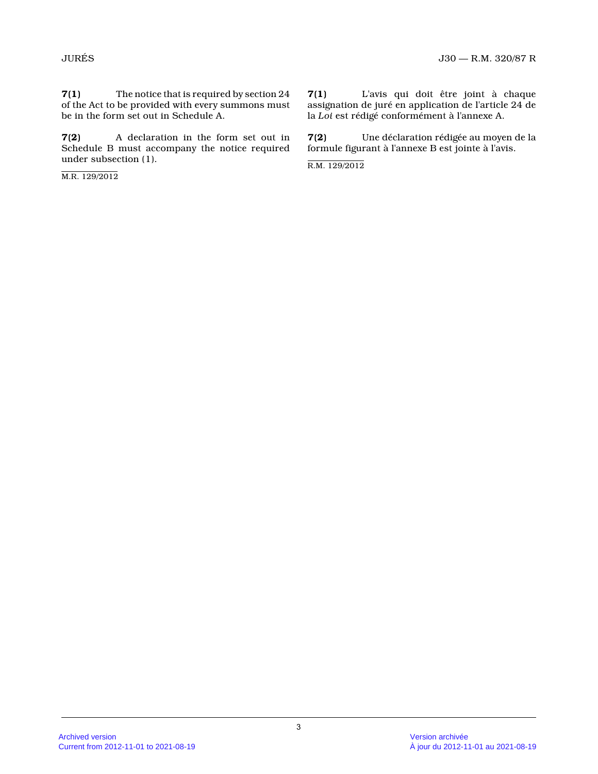**7(1)** The notice that is required by section 24 of the Act to be provided with every summons must be in the form set out in Schedule A.

**7(2)** A declaration in the form set out in Schedule B must accompany the notice required under subsection (1).

M.R. 129/2012

**7(1)** L'avis qui doit être joint à chaque assignation de juré en application de l'article 24 de la *Loi* est rédigé conformément à l'annexe A.

**7(2)** Une déclaration rédigée au moyen de la formule figurant à l'annexe B est jointe à l'avis.

R.M. 129/2012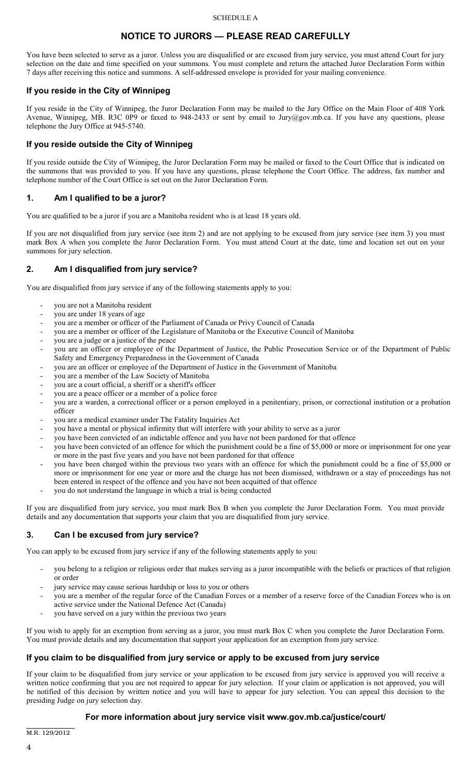#### SCHEDULE A

# **NOTICE TO JURORS — PLEASE READ CAREFULLY**

You have been selected to serve as a juror. Unless you are disqualified or are excused from jury service, you must attend Court for jury selection on the date and time specified on your summons. You must complete and return the attached Juror Declaration Form within 7 days after receiving this notice and summons. A self-addressed envelope is provided for your mailing convenience.

### **If you reside in the City of Winnipeg**

If you reside in the City of Winnipeg, the Juror Declaration Form may be mailed to the Jury Office on the Main Floor of 408 York Avenue, Winnipeg, MB. R3C 0P9 or faxed to 948-2433 or sent by email to Jury@gov.mb.ca. If you have any questions, please telephone the Jury Office at 945-5740.

### **If you reside outside the City of Winnipeg**

If you reside outside the City of Winnipeg, the Juror Declaration Form may be mailed or faxed to the Court Office that is indicated on the summons that was provided to you. If you have any questions, please telephone the Court Office. The address, fax number and telephone number of the Court Office is set out on the Juror Declaration Form.

### **1. Am I qualified to be a juror?**

You are qualified to be a juror if you are a Manitoba resident who is at least 18 years old.

If you are not disqualified from jury service (see item 2) and are not applying to be excused from jury service (see item 3) you must mark Box A when you complete the Juror Declaration Form. You must attend Court at the date, time and location set out on your summons for jury selection.

### **2. Am I disqualified from jury service?**

You are disqualified from jury service if any of the following statements apply to you:

- you are not a Manitoba resident
- you are under 18 years of age
- you are a member or officer of the Parliament of Canada or Privy Council of Canada
- you are a member or officer of the Legislature of Manitoba or the Executive Council of Manitoba
- you are a judge or a justice of the peace
- you are an officer or employee of the Department of Justice, the Public Prosecution Service or of the Department of Public Safety and Emergency Preparedness in the Government of Canada
- you are an officer or employee of the Department of Justice in the Government of Manitoba
- you are a member of the Law Society of Manitoba
- you are a court official, a sheriff or a sheriff's officer
- you are a peace officer or a member of a police force
- you are a warden, a correctional officer or a person employed in a penitentiary, prison, or correctional institution or a probation officer
- you are a medical examiner under The Fatality Inquiries Act
- you have a mental or physical infirmity that will interfere with your ability to serve as a juror
- you have been convicted of an indictable offence and you have not been pardoned for that offence
- you have been convicted of an offence for which the punishment could be a fine of \$5,000 or more or imprisonment for one year or more in the past five years and you have not been pardoned for that offence
- you have been charged within the previous two years with an offence for which the punishment could be a fine of \$5,000 or more or imprisonment for one year or more and the charge has not been dismissed, withdrawn or a stay of proceedings has not been entered in respect of the offence and you have not been acquitted of that offence
- you do not understand the language in which a trial is being conducted

If you are disqualified from jury service, you must mark Box B when you complete the Juror Declaration Form. You must provide details and any documentation that supports your claim that you are disqualified from jury service.

### **3. Can I be excused from jury service?**

You can apply to be excused from jury service if any of the following statements apply to you:

- you belong to a religion or religious order that makes serving as a juror incompatible with the beliefs or practices of that religion or order
- jury service may cause serious hardship or loss to you or others
- you are a member of the regular force of the Canadian Forces or a member of a reserve force of the Canadian Forces who is on active service under the National Defence Act (Canada)
- you have served on a jury within the previous two years

If you wish to apply for an exemption from serving as a juror, you must mark Box C when you complete the Juror Declaration Form. You must provide details and any documentation that support your application for an exemption from jury service.

# **If you claim to be disqualified from jury service or apply to be excused from jury service**

If your claim to be disqualified from jury service or your application to be excused from jury service is approved you will receive a written notice confirming that you are not required to appear for jury selection. If your claim or application is not approved, you will be notified of this decision by written notice and you will have to appear for jury selection. You can appeal this decision to the presiding Judge on jury selection day.

# **For more information about jury service visit www.gov.mb.ca/justice/court/**

M.R. 129/2012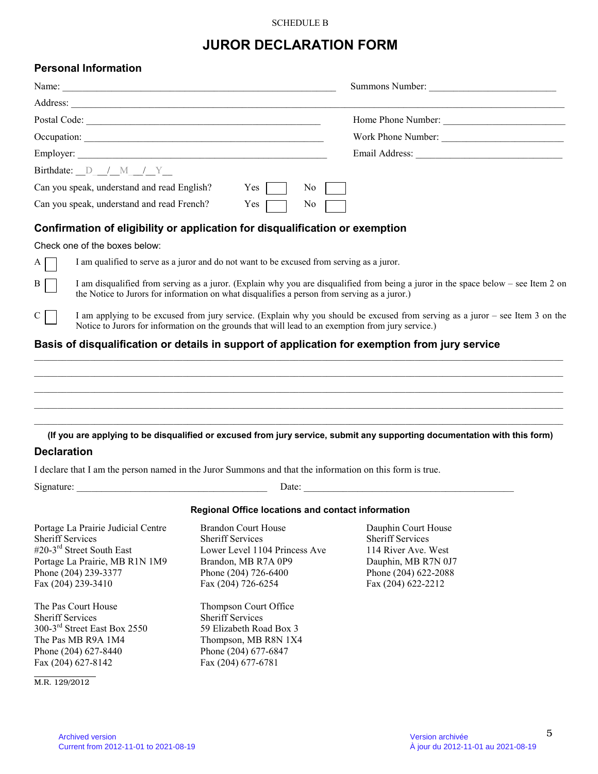#### SCHEDULE B

# **JUROR DECLARATION FORM**

# **Personal Information**

| Name:                                                                                          |                                | Summons Number:    |
|------------------------------------------------------------------------------------------------|--------------------------------|--------------------|
| Address:                                                                                       |                                |                    |
| Postal Code:                                                                                   |                                | Home Phone Number: |
|                                                                                                |                                | Work Phone Number: |
|                                                                                                |                                |                    |
| Birthdate: $D / M / Y$                                                                         |                                |                    |
| Can you speak, understand and read English?                                                    | Yes<br>$\overline{N_0}$        |                    |
| Can you speak, understand and read French?                                                     | $\overline{N_0}$<br>$Yes \Box$ |                    |
| Confirmation of eligibility or application for disqualification or exemption                   |                                |                    |
| Check one of the boxes below:                                                                  |                                |                    |
| I am qualified to serve as a juror and do not want to be excused from serving as a juror.<br>A |                                |                    |

 $\overline{B}$  I am disqualified from serving as a juror. (Explain why you are disqualified from being a juror in the space below – see Item 2 on the Notice to Jurors for information on what disqualifies a person from serving as a juror.)

C I am applying to be excused from jury service. (Explain why you should be excused from serving as a juror – see Item 3 on the Notice to Jurors for information on the grounds that will lead to an exemption from jury service.)

#### **Basis of disqualification or details in support of application for exemption from jury service**

 $\_$  , and the state of the state of the state of the state of the state of the state of the state of the state of the state of the state of the state of the state of the state of the state of the state of the state of the  $\_$  , and the state of the state of the state of the state of the state of the state of the state of the state of the state of the state of the state of the state of the state of the state of the state of the state of the  $\_$  , and the state of the state of the state of the state of the state of the state of the state of the state of the state of the state of the state of the state of the state of the state of the state of the state of the  $\_$  , and the set of the set of the set of the set of the set of the set of the set of the set of the set of the set of the set of the set of the set of the set of the set of the set of the set of the set of the set of th **(If you are applying to be disqualified or excused from jury service, submit any supporting documentation with this form)** 

\_\_\_\_\_\_\_\_\_\_\_\_\_\_\_\_\_\_\_\_\_\_\_\_\_\_\_\_\_\_\_\_\_\_\_\_\_\_\_\_\_\_\_\_\_\_\_\_\_\_\_\_\_\_\_\_\_\_\_\_\_\_\_\_\_\_\_\_\_\_\_\_\_\_\_\_\_\_\_\_\_\_\_\_\_\_\_\_\_\_\_\_\_\_\_\_\_\_\_\_\_\_\_\_\_\_\_\_\_\_\_\_\_\_

#### **Declaration**

I declare that I am the person named in the Juror Summons and that the information on this form is true.

| Signature: | Date: |  |
|------------|-------|--|
|            |       |  |

#### **Regional Office locations and contact information**

Portage La Prairie Judicial Centre Brandon Court House Dauphin Court House<br>Sheriff Services Sheriff Services Sheriff Services Sheriff Services<br>
#20-3<sup>rd</sup> Street South East Lower Level 1104 Princess Ave 114 River Ave. West Portage La Prairie, MB R1N 1M9 Brandon, MB R7A 0P9 Dauphin, MB R7N 0J7 Phone (204) 239-3377 Phone (204) 726-6400 Phone (204) 622-2088 Fax (204) 239-3410 Fax (204) 726-6254 Fax (204) 622-2212

The Pas Court House Thompson Court Office Sheriff Services<br>
300-3<sup>rd</sup> Street East Box 2550<br>
59 Elizabeth Road Box 3 300-3<sup>rd</sup> Street East Box 2550 The Pas MB R9A 1M4 Thompson, MB R8N 1X4 Phone (204) 627-8440 Phone (204) 677-6847 Fax (204) 627-8142 Fax (204) 677-6781

M.R. 129/2012

Lower Level 1104 Princess Ave.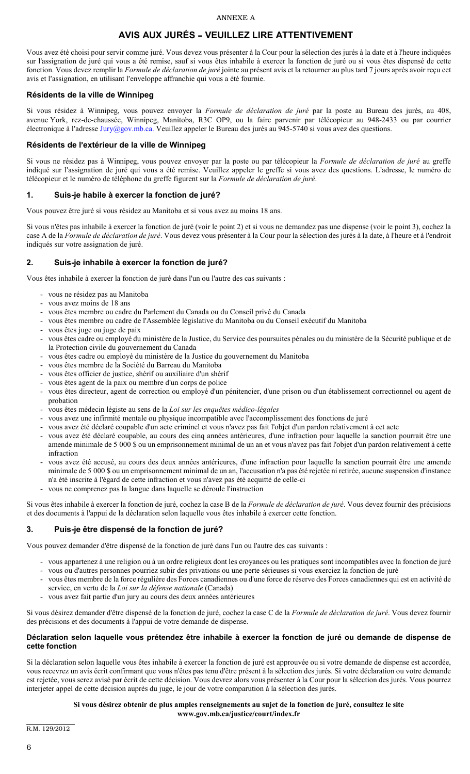#### ANNEXE A

# **AVIS AUX JURÉS - VEUILLEZ LIRE ATTENTIVEMENT**

Vous avez été choisi pour servir comme juré. Vous devez vous présenter à la Cour pour la sélection des jurés à la date et à l'heure indiquées sur l'assignation de juré qui vous a été remise, sauf si vous êtes inhabile à exercer la fonction de juré ou si vous êtes dispensé de cette fonction. Vous devez remplir la *Formule de déclaration de juré* jointe au présent avis et la retourner au plus tard 7 jours après avoir reçu cet avis et l'assignation, en utilisant l'enveloppe affranchie qui vous a été fournie.

#### **Résidents de la ville de Winnipeg**

Si vous résidez à Winnipeg, vous pouvez envoyer la *Formule de déclaration de juré* par la poste au Bureau des jurés, au 408, avenue York, rez-de-chaussée, Winnipeg, Manitoba, R3C OP9, ou la faire parvenir par télécopieur au 948-2433 ou par courrier électronique à l'adresse Jury@gov.mb.ca. Veuillez appeler le Bureau des jurés au 945-5740 si vous avez des questions.

#### **Résidents de l'extérieur de la ville de Winnipeg**

Si vous ne résidez pas à Winnipeg, vous pouvez envoyer par la poste ou par télécopieur la *Formule de déclaration de juré* au greffe indiqué sur l'assignation de juré qui vous a été remise. Veuillez appeler le greffe si vous avez des questions. L'adresse, le numéro de télécopieur et le numéro de téléphone du greffe figurent sur la *Formule de déclaration de juré*.

#### **1. Suis-je habile à exercer la fonction de juré?**

Vous pouvez être juré si vous résidez au Manitoba et si vous avez au moins 18 ans.

Si vous n'êtes pas inhabile à exercer la fonction de juré (voir le point 2) et si vous ne demandez pas une dispense (voir le point 3), cochez la case A de la *Formule de déclaration de juré*. Vous devez vous présenter à la Cour pour la sélection des jurés à la date, à l'heure et à l'endroit indiqués sur votre assignation de juré.

### **2. Suis-je inhabile à exercer la fonction de juré?**

Vous êtes inhabile à exercer la fonction de juré dans l'un ou l'autre des cas suivants :

- vous ne résidez pas au Manitoba
- vous avez moins de 18 ans
- vous êtes membre ou cadre du Parlement du Canada ou du Conseil privé du Canada
- vous êtes membre ou cadre de l'Assemblée législative du Manitoba ou du Conseil exécutif du Manitoba
- vous êtes juge ou juge de paix
- vous êtes cadre ou employé du ministère de la Justice, du Service des poursuites pénales ou du ministère de la Sécurité publique et de la Protection civile du gouvernement du Canada
- vous êtes cadre ou employé du ministère de la Justice du gouvernement du Manitoba
- vous êtes membre de la Société du Barreau du Manitoba
- vous êtes officier de justice, shérif ou auxiliaire d'un shérif
- vous êtes agent de la paix ou membre d'un corps de police
- vous êtes directeur, agent de correction ou employé d'un pénitencier, d'une prison ou d'un établissement correctionnel ou agent de probation
- vous êtes médecin légiste au sens de la *Loi sur les enquêtes médico-légales*
- vous avez une infirmité mentale ou physique incompatible avec l'accomplissement des fonctions de juré
- vous avez été déclaré coupable d'un acte criminel et vous n'avez pas fait l'objet d'un pardon relativement à cet acte
- vous avez été déclaré coupable, au cours des cinq années antérieures, d'une infraction pour laquelle la sanction pourrait être une amende minimale de 5 000 \$ ou un emprisonnement minimal de un an et vous n'avez pas fait l'objet d'un pardon relativement à cette infraction
- vous avez été accusé, au cours des deux années antérieures, d'une infraction pour laquelle la sanction pourrait être une amende minimale de 5 000 \$ ou un emprisonnement minimal de un an, l'accusation n'a pas été rejetée ni retirée, aucune suspension d'instance n'a été inscrite à l'égard de cette infraction et vous n'avez pas été acquitté de celle-ci
- vous ne comprenez pas la langue dans laquelle se déroule l'instruction

Si vous êtes inhabile à exercer la fonction de juré, cochez la case B de la *Formule de déclaration de juré*. Vous devez fournir des précisions et des documents à l'appui de la déclaration selon laquelle vous êtes inhabile à exercer cette fonction.

### **3. Puis-je être dispensé de la fonction de juré?**

Vous pouvez demander d'être dispensé de la fonction de juré dans l'un ou l'autre des cas suivants :

- vous appartenez à une religion ou à un ordre religieux dont les croyances ou les pratiques sont incompatibles avec la fonction de juré
- vous ou d'autres personnes pourriez subir des privations ou une perte sérieuses si vous exerciez la fonction de juré
- vous êtes membre de la force régulière des Forces canadiennes ou d'une force de réserve des Forces canadiennes qui est en activité de service, en vertu de la *Loi sur la défense nationale* (Canada)
- vous avez fait partie d'un jury au cours des deux années antérieures

Si vous désirez demander d'être dispensé de la fonction de juré, cochez la case C de la *Formule de déclaration de juré*. Vous devez fournir des précisions et des documents à l'appui de votre demande de dispense.

#### **Déclaration selon laquelle vous prétendez être inhabile à exercer la fonction de juré ou demande de dispense de cette fonction**

Si la déclaration selon laquelle vous êtes inhabile à exercer la fonction de juré est approuvée ou si votre demande de dispense est accordée, vous recevrez un avis écrit confirmant que vous n'êtes pas tenu d'être présent à la sélection des jurés. Si votre déclaration ou votre demande est rejetée, vous serez avisé par écrit de cette décision. Vous devrez alors vous présenter à la Cour pour la sélection des jurés. Vous pourrez interjeter appel de cette décision auprès du juge, le jour de votre comparution à la sélection des jurés.

#### **Si vous désirez obtenir de plus amples renseignements au sujet de la fonction de juré, consultez le site www.gov.mb.ca/justice/court/index.fr**

R.M. 129/2012